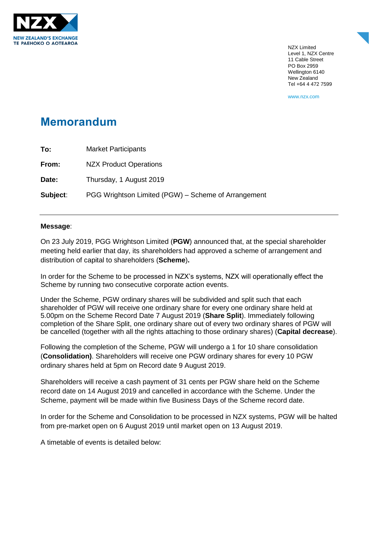

NZX Limited Level 1, NZX Centre 11 Cable Street PO Box 2959 Wellington 6140 New Zealand Tel +64 4 472 7599

www.nzx.com

## **Memorandum**

| To:      | <b>Market Participants</b>                          |
|----------|-----------------------------------------------------|
| From:    | <b>NZX Product Operations</b>                       |
| Date:    | Thursday, 1 August 2019                             |
| Subject: | PGG Wrightson Limited (PGW) – Scheme of Arrangement |

## **Message**:

On 23 July 2019, PGG Wrightson Limited (**PGW**) announced that, at the special shareholder meeting held earlier that day, its shareholders had approved a scheme of arrangement and distribution of capital to shareholders (**Scheme**)**.**

In order for the Scheme to be processed in NZX's systems, NZX will operationally effect the Scheme by running two consecutive corporate action events.

Under the Scheme, PGW ordinary shares will be subdivided and split such that each shareholder of PGW will receive one ordinary share for every one ordinary share held at 5.00pm on the Scheme Record Date 7 August 2019 (**Share Split**). Immediately following completion of the Share Split, one ordinary share out of every two ordinary shares of PGW will be cancelled (together with all the rights attaching to those ordinary shares) (**Capital decrease**).

Following the completion of the Scheme, PGW will undergo a 1 for 10 share consolidation (**Consolidation)**. Shareholders will receive one PGW ordinary shares for every 10 PGW ordinary shares held at 5pm on Record date 9 August 2019.

Shareholders will receive a cash payment of 31 cents per PGW share held on the Scheme record date on 14 August 2019 and cancelled in accordance with the Scheme. Under the Scheme, payment will be made within five Business Days of the Scheme record date.

In order for the Scheme and Consolidation to be processed in NZX systems, PGW will be halted from pre-market open on 6 August 2019 until market open on 13 August 2019.

A timetable of events is detailed below: